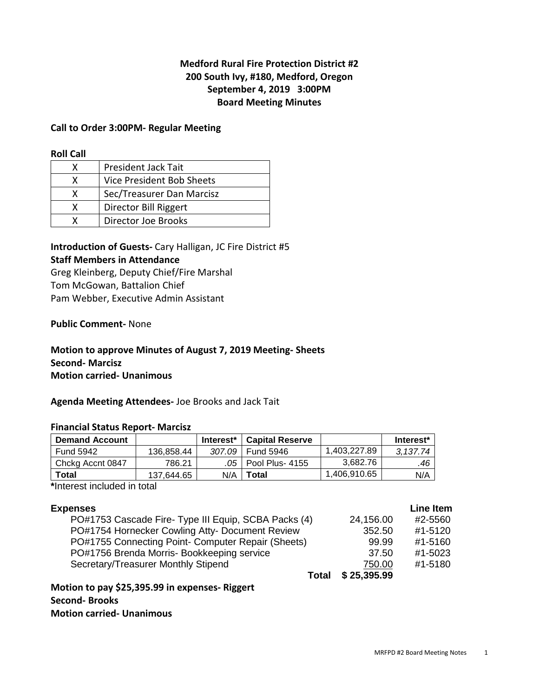# **Medford Rural Fire Protection District #2 200 South Ivy, #180, Medford, Oregon September 4, 2019 3:00PM Board Meeting Minutes**

## **Call to Order 3:00PM- Regular Meeting**

#### **Roll Call**

| x | <b>President Jack Tait</b> |
|---|----------------------------|
| x | Vice President Bob Sheets  |
| x | Sec/Treasurer Dan Marcisz  |
| x | Director Bill Riggert      |
|   | Director Joe Brooks        |

**Introduction of Guests-** Cary Halligan, JC Fire District #5 **Staff Members in Attendance**  Greg Kleinberg, Deputy Chief/Fire Marshal

Tom McGowan, Battalion Chief Pam Webber, Executive Admin Assistant

**Public Comment-** None

# **Motion to approve Minutes of August 7, 2019 Meeting- Sheets Second- Marcisz Motion carried- Unanimous**

**Agenda Meeting Attendees-** Joe Brooks and Jack Tait

## **Financial Status Report- Marcisz**

| <b>Demand Account</b> |            | Interest <sup>*</sup> | ∣ Capital Reserve     |              | Interest* |
|-----------------------|------------|-----------------------|-----------------------|--------------|-----------|
| <b>Fund 5942</b>      | 136.858.44 |                       | 307.09 Fund 5946      | 1.403.227.89 | 3.137.74  |
| Chckg Accnt 0847      | 786.21     |                       | .05   Pool Plus- 4155 | 3.682.76     | .46       |
| Total                 | 137.644.65 |                       | $N/A$   Total         | 1,406,910.65 | N/A       |

**\***Interest included in total

| <b>Expenses</b>                                      |             | <b>Line Item</b> |
|------------------------------------------------------|-------------|------------------|
| PO#1753 Cascade Fire- Type III Equip, SCBA Packs (4) | 24,156.00   | #2-5560          |
| PO#1754 Hornecker Cowling Atty- Document Review      | 352.50      | #1-5120          |
| PO#1755 Connecting Point- Computer Repair (Sheets)   | 99.99       | #1-5160          |
| PO#1756 Brenda Morris- Bookkeeping service           | 37.50       | #1-5023          |
| Secretary/Treasurer Monthly Stipend                  | 750.00      | #1-5180          |
| Total                                                | \$25,395.99 |                  |

**Motion to pay \$25,395.99 in expenses- Riggert** 

# **Second- Brooks**

**Motion carried- Unanimous**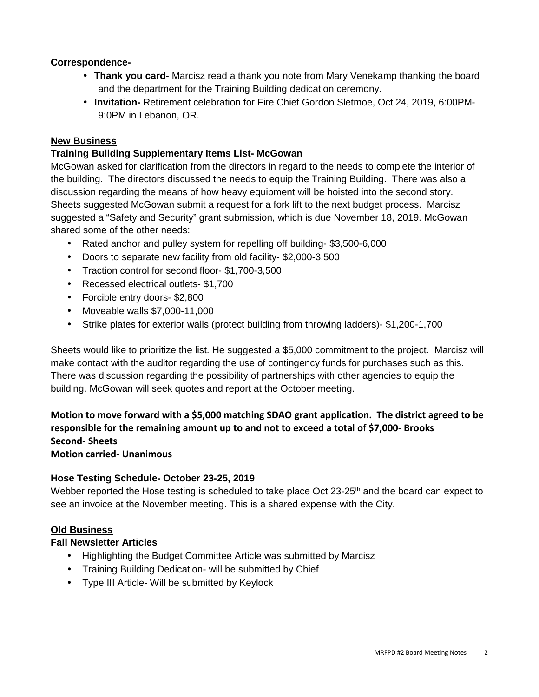# **Correspondence-**

- **Thank you card-** Marcisz read a thank you note from Mary Venekamp thanking the board and the department for the Training Building dedication ceremony.
- **Invitation-** Retirement celebration for Fire Chief Gordon Sletmoe, Oct 24, 2019, 6:00PM-9:0PM in Lebanon, OR.

# **New Business**

# **Training Building Supplementary Items List- McGowan**

McGowan asked for clarification from the directors in regard to the needs to complete the interior of the building. The directors discussed the needs to equip the Training Building. There was also a discussion regarding the means of how heavy equipment will be hoisted into the second story. Sheets suggested McGowan submit a request for a fork lift to the next budget process. Marcisz suggested a "Safety and Security" grant submission, which is due November 18, 2019. McGowan shared some of the other needs:

- Rated anchor and pulley system for repelling off building- \$3,500-6,000
- Doors to separate new facility from old facility- \$2,000-3,500
- Traction control for second floor- \$1,700-3,500
- Recessed electrical outlets- \$1,700
- Forcible entry doors- \$2,800
- Moveable walls \$7,000-11,000
- Strike plates for exterior walls (protect building from throwing ladders)- \$1,200-1,700

Sheets would like to prioritize the list. He suggested a \$5,000 commitment to the project. Marcisz will make contact with the auditor regarding the use of contingency funds for purchases such as this. There was discussion regarding the possibility of partnerships with other agencies to equip the building. McGowan will seek quotes and report at the October meeting.

**Motion to move forward with a \$5,000 matching SDAO grant application. The district agreed to be responsible for the remaining amount up to and not to exceed a total of \$7,000- Brooks Second- Sheets**

# **Motion carried- Unanimous**

# **Hose Testing Schedule- October 23-25, 2019**

Webber reported the Hose testing is scheduled to take place Oct  $23\text{-}25^{\text{th}}$  and the board can expect to see an invoice at the November meeting. This is a shared expense with the City.

# **Old Business**

# **Fall Newsletter Articles**

- Highlighting the Budget Committee Article was submitted by Marcisz
- Training Building Dedication- will be submitted by Chief
- Type III Article- Will be submitted by Keylock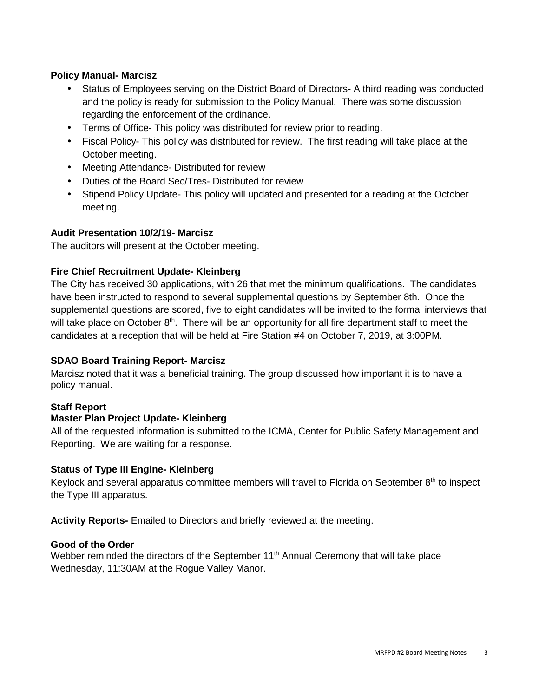# **Policy Manual- Marcisz**

- Status of Employees serving on the District Board of DirectorsA third reading was conducted and the policy is ready for submission to the Policy Manual. There was some discussion regarding the enforcement of the ordinance.
- Terms of Office- This policy was distributed for review prior to reading.
- Fiscal Policy- This policy was distributed for review. The first reading will take place at the October meeting.
- Meeting Attendance- Distributed for review
- Duties of the Board Sec/Tres- Distributed for review
- Stipend Policy Update- This policy will updated and presented for a reading at the October meeting.

# **Audit Presentation 10/2/19- Marcisz**

The auditors will present at the October meeting.

# **Fire Chief Recruitment Update- Kleinberg**

The City has received 30 applications, with 26 that met the minimum qualifications. The candidates have been instructed to respond to several supplemental questions by September 8th. Once the supplemental questions are scored, five to eight candidates will be invited to the formal interviews that will take place on October 8<sup>th</sup>. There will be an opportunity for all fire department staff to meet the candidates at a reception that will be held at Fire Station #4 on October 7, 2019, at 3:00PM.

# **SDAO Board Training Report- Marcisz**

Marcisz noted that it was a beneficial training. The group discussed how important it is to have a policy manual.

# **Staff Report**

## **Master Plan Project Update- Kleinberg**

All of the requested information is submitted to the ICMA, Center for Public Safety Management and Reporting. We are waiting for a response.

## **Status of Type III Engine- Kleinberg**

Keylock and several apparatus committee members will travel to Florida on September  $8<sup>th</sup>$  to inspect the Type III apparatus.

**Activity Reports-** Emailed to Directors and briefly reviewed at the meeting.

## **Good of the Order**

Webber reminded the directors of the September 11<sup>th</sup> Annual Ceremony that will take place Wednesday, 11:30AM at the Rogue Valley Manor.